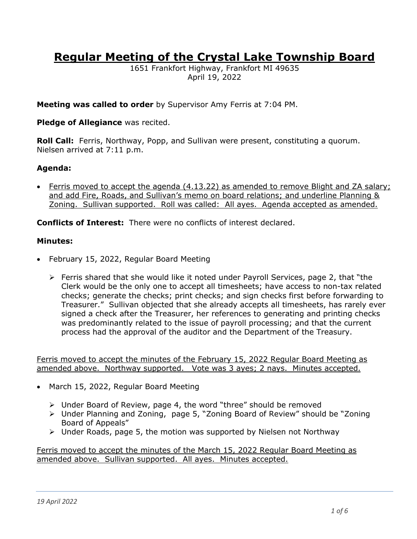# **Regular Meeting of the Crystal Lake Township Board**

1651 Frankfort Highway, Frankfort MI 49635 April 19, 2022

**Meeting was called to order** by Supervisor Amy Ferris at 7:04 PM.

## **Pledge of Allegiance** was recited.

**Roll Call:** Ferris, Northway, Popp, and Sullivan were present, constituting a quorum. Nielsen arrived at 7:11 p.m.

## **Agenda:**

• Ferris moved to accept the agenda (4.13.22) as amended to remove Blight and ZA salary; and add Fire, Roads, and Sullivan's memo on board relations; and underline Planning & Zoning. Sullivan supported. Roll was called: All ayes. Agenda accepted as amended.

**Conflicts of Interest:** There were no conflicts of interest declared.

## **Minutes:**

- February 15, 2022, Regular Board Meeting
	- ➢ Ferris shared that she would like it noted under Payroll Services, page 2, that "the Clerk would be the only one to accept all timesheets; have access to non-tax related checks; generate the checks; print checks; and sign checks first before forwarding to Treasurer." Sullivan objected that she already accepts all timesheets, has rarely ever signed a check after the Treasurer, her references to generating and printing checks was predominantly related to the issue of payroll processing; and that the current process had the approval of the auditor and the Department of the Treasury.

Ferris moved to accept the minutes of the February 15, 2022 Regular Board Meeting as amended above. Northway supported. Vote was 3 ayes; 2 nays. Minutes accepted.

- March 15, 2022, Regular Board Meeting
	- $\triangleright$  Under Board of Review, page 4, the word "three" should be removed
	- ➢ Under Planning and Zoning, page 5, "Zoning Board of Review" should be "Zoning Board of Appeals"
	- $\triangleright$  Under Roads, page 5, the motion was supported by Nielsen not Northway

Ferris moved to accept the minutes of the March 15, 2022 Regular Board Meeting as amended above. Sullivan supported. All ayes. Minutes accepted.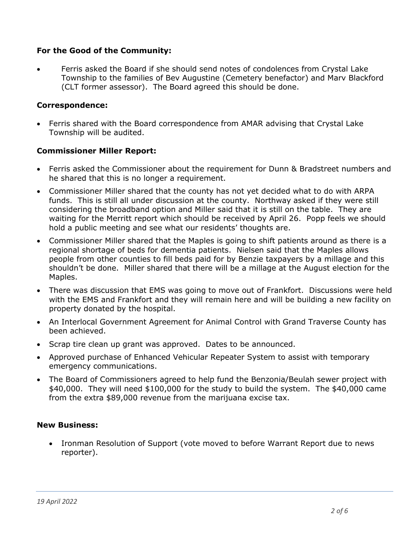# **For the Good of the Community:**

• Ferris asked the Board if she should send notes of condolences from Crystal Lake Township to the families of Bev Augustine (Cemetery benefactor) and Marv Blackford (CLT former assessor). The Board agreed this should be done.

## **Correspondence:**

• Ferris shared with the Board correspondence from AMAR advising that Crystal Lake Township will be audited.

## **Commissioner Miller Report:**

- Ferris asked the Commissioner about the requirement for Dunn & Bradstreet numbers and he shared that this is no longer a requirement.
- Commissioner Miller shared that the county has not yet decided what to do with ARPA funds. This is still all under discussion at the county. Northway asked if they were still considering the broadband option and Miller said that it is still on the table. They are waiting for the Merritt report which should be received by April 26. Popp feels we should hold a public meeting and see what our residents' thoughts are.
- Commissioner Miller shared that the Maples is going to shift patients around as there is a regional shortage of beds for dementia patients. Nielsen said that the Maples allows people from other counties to fill beds paid for by Benzie taxpayers by a millage and this shouldn't be done. Miller shared that there will be a millage at the August election for the Maples.
- There was discussion that EMS was going to move out of Frankfort. Discussions were held with the EMS and Frankfort and they will remain here and will be building a new facility on property donated by the hospital.
- An Interlocal Government Agreement for Animal Control with Grand Traverse County has been achieved.
- Scrap tire clean up grant was approved. Dates to be announced.
- Approved purchase of Enhanced Vehicular Repeater System to assist with temporary emergency communications.
- The Board of Commissioners agreed to help fund the Benzonia/Beulah sewer project with \$40,000. They will need \$100,000 for the study to build the system. The \$40,000 came from the extra \$89,000 revenue from the marijuana excise tax.

## **New Business:**

• Ironman Resolution of Support (vote moved to before Warrant Report due to news reporter).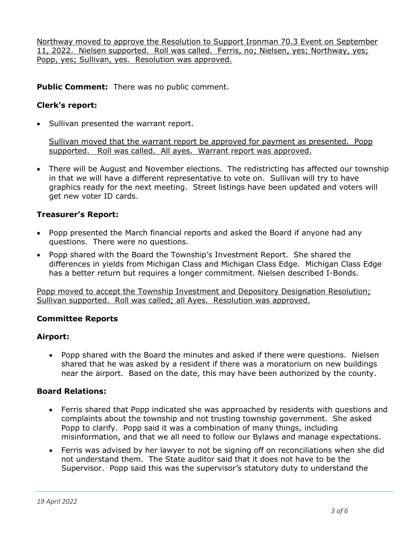Northway moved to approve the Resolution to Support Ironman 70.3 Event on September 11, 2022. Nielsen supported. Roll was called. Ferris, no; Nielsen, yes; Northway, yes; Popp, yes; Sullivan, yes. Resolution was approved.

**Public Comment:** There was no public comment.

# **Clerk's report:**

• Sullivan presented the warrant report.

Sullivan moved that the warrant report be approved for payment as presented. Popp supported. Roll was called. All ayes. Warrant report was approved.

• There will be August and November elections. The redistricting has affected our township in that we will have a different representative to vote on. Sullivan will try to have graphics ready for the next meeting. Street listings have been updated and voters will get new voter ID cards.

## **Treasurer's Report:**

- Popp presented the March financial reports and asked the Board if anyone had any questions. There were no questions.
- Popp shared with the Board the Township's Investment Report. She shared the differences in yields from Michigan Class and Michigan Class Edge. Michigan Class Edge has a better return but requires a longer commitment. Nielsen described I-Bonds.

Popp moved to accept the Township Investment and Depository Designation Resolution; Sullivan supported. Roll was called; all Ayes. Resolution was approved.

## **Committee Reports**

## **Airport:**

• Popp shared with the Board the minutes and asked if there were questions. Nielsen shared that he was asked by a resident if there was a moratorium on new buildings near the airport. Based on the date, this may have been authorized by the county.

## **Board Relations:**

- Ferris shared that Popp indicated she was approached by residents with questions and complaints about the township and not trusting township government. She asked Popp to clarify. Popp said it was a combination of many things, including misinformation, and that we all need to follow our Bylaws and manage expectations.
- Ferris was advised by her lawyer to not be signing off on reconciliations when she did not understand them. The State auditor said that it does not have to be the Supervisor. Popp said this was the supervisor's statutory duty to understand the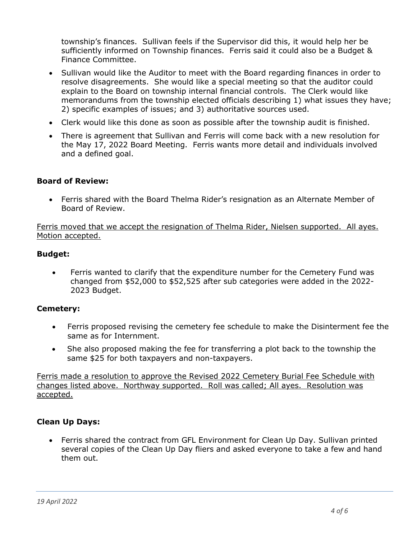township's finances. Sullivan feels if the Supervisor did this, it would help her be sufficiently informed on Township finances. Ferris said it could also be a Budget & Finance Committee.

- Sullivan would like the Auditor to meet with the Board regarding finances in order to resolve disagreements. She would like a special meeting so that the auditor could explain to the Board on township internal financial controls. The Clerk would like memorandums from the township elected officials describing 1) what issues they have; 2) specific examples of issues; and 3) authoritative sources used.
- Clerk would like this done as soon as possible after the township audit is finished.
- There is agreement that Sullivan and Ferris will come back with a new resolution for the May 17, 2022 Board Meeting. Ferris wants more detail and individuals involved and a defined goal.

## **Board of Review:**

• Ferris shared with the Board Thelma Rider's resignation as an Alternate Member of Board of Review.

Ferris moved that we accept the resignation of Thelma Rider, Nielsen supported. All ayes. Motion accepted.

## **Budget:**

• Ferris wanted to clarify that the expenditure number for the Cemetery Fund was changed from \$52,000 to \$52,525 after sub categories were added in the 2022- 2023 Budget.

#### **Cemetery:**

- Ferris proposed revising the cemetery fee schedule to make the Disinterment fee the same as for Internment.
- She also proposed making the fee for transferring a plot back to the township the same \$25 for both taxpayers and non-taxpayers.

Ferris made a resolution to approve the Revised 2022 Cemetery Burial Fee Schedule with changes listed above. Northway supported. Roll was called; All ayes. Resolution was accepted.

#### **Clean Up Days:**

• Ferris shared the contract from GFL Environment for Clean Up Day. Sullivan printed several copies of the Clean Up Day fliers and asked everyone to take a few and hand them out.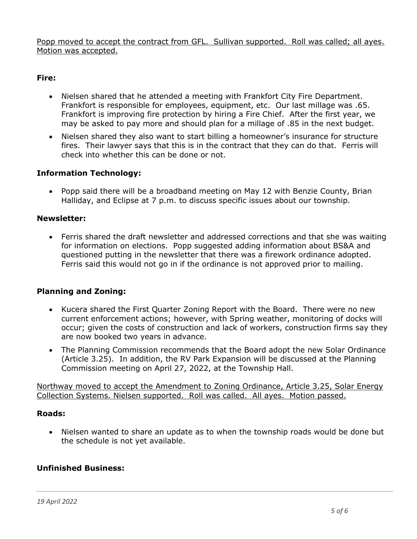Popp moved to accept the contract from GFL. Sullivan supported. Roll was called; all ayes. Motion was accepted.

# **Fire:**

- Nielsen shared that he attended a meeting with Frankfort City Fire Department. Frankfort is responsible for employees, equipment, etc. Our last millage was .65. Frankfort is improving fire protection by hiring a Fire Chief. After the first year, we may be asked to pay more and should plan for a millage of .85 in the next budget.
- Nielsen shared they also want to start billing a homeowner's insurance for structure fires. Their lawyer says that this is in the contract that they can do that. Ferris will check into whether this can be done or not.

## **Information Technology:**

• Popp said there will be a broadband meeting on May 12 with Benzie County, Brian Halliday, and Eclipse at 7 p.m. to discuss specific issues about our township.

## **Newsletter:**

• Ferris shared the draft newsletter and addressed corrections and that she was waiting for information on elections. Popp suggested adding information about BS&A and questioned putting in the newsletter that there was a firework ordinance adopted. Ferris said this would not go in if the ordinance is not approved prior to mailing.

## **Planning and Zoning:**

- Kucera shared the First Quarter Zoning Report with the Board. There were no new current enforcement actions; however, with Spring weather, monitoring of docks will occur; given the costs of construction and lack of workers, construction firms say they are now booked two years in advance.
- The Planning Commission recommends that the Board adopt the new Solar Ordinance (Article 3.25). In addition, the RV Park Expansion will be discussed at the Planning Commission meeting on April 27, 2022, at the Township Hall.

Northway moved to accept the Amendment to Zoning Ordinance, Article 3.25, Solar Energy Collection Systems. Nielsen supported. Roll was called. All ayes. Motion passed.

#### **Roads:**

• Nielsen wanted to share an update as to when the township roads would be done but the schedule is not yet available.

## **Unfinished Business:**